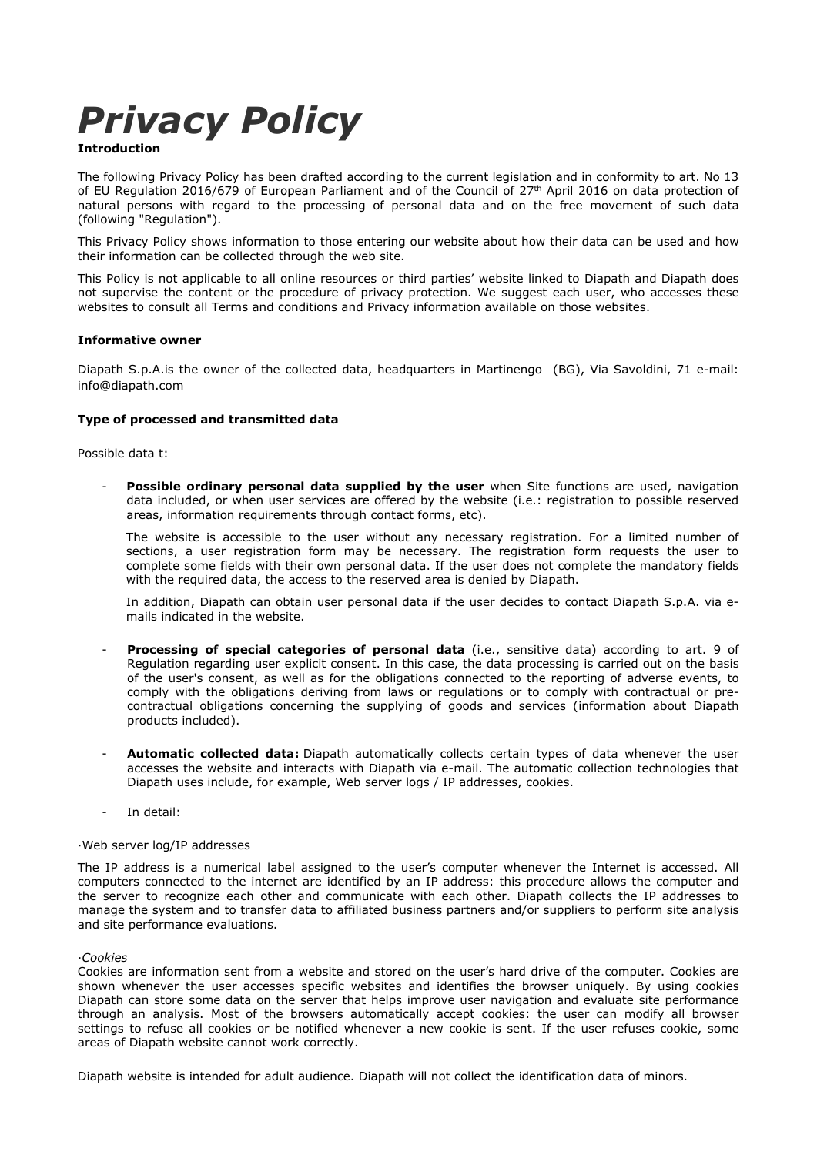# Privacy Policy

# Introduction

The following Privacy Policy has been drafted according to the current legislation and in conformity to art. No 13 of EU Regulation 2016/679 of European Parliament and of the Council of 27th April 2016 on data protection of natural persons with regard to the processing of personal data and on the free movement of such data (following "Regulation").

This Privacy Policy shows information to those entering our website about how their data can be used and how their information can be collected through the web site.

This Policy is not applicable to all online resources or third parties' website linked to Diapath and Diapath does not supervise the content or the procedure of privacy protection. We suggest each user, who accesses these websites to consult all Terms and conditions and Privacy information available on those websites.

# Informative owner

Diapath S.p.A.is the owner of the collected data, headquarters in Martinengo (BG), Via Savoldini, 71 e-mail: info@diapath.com

# Type of processed and transmitted data

Possible data t:

Possible ordinary personal data supplied by the user when Site functions are used, navigation data included, or when user services are offered by the website (i.e.: registration to possible reserved areas, information requirements through contact forms, etc).

The website is accessible to the user without any necessary registration. For a limited number of sections, a user registration form may be necessary. The registration form requests the user to complete some fields with their own personal data. If the user does not complete the mandatory fields with the required data, the access to the reserved area is denied by Diapath.

In addition, Diapath can obtain user personal data if the user decides to contact Diapath S.p.A. via emails indicated in the website.

- Processing of special categories of personal data (i.e., sensitive data) according to art. 9 of Regulation regarding user explicit consent. In this case, the data processing is carried out on the basis of the user's consent, as well as for the obligations connected to the reporting of adverse events, to comply with the obligations deriving from laws or regulations or to comply with contractual or precontractual obligations concerning the supplying of goods and services (information about Diapath products included).
- Automatic collected data: Diapath automatically collects certain types of data whenever the user accesses the website and interacts with Diapath via e-mail. The automatic collection technologies that Diapath uses include, for example, Web server logs / IP addresses, cookies.
- In detail:

### ·Web server log/IP addresses

The IP address is a numerical label assigned to the user's computer whenever the Internet is accessed. All computers connected to the internet are identified by an IP address: this procedure allows the computer and the server to recognize each other and communicate with each other. Diapath collects the IP addresses to manage the system and to transfer data to affiliated business partners and/or suppliers to perform site analysis and site performance evaluations.

### ·Cookies

Cookies are information sent from a website and stored on the user's hard drive of the computer. Cookies are shown whenever the user accesses specific websites and identifies the browser uniquely. By using cookies Diapath can store some data on the server that helps improve user navigation and evaluate site performance through an analysis. Most of the browsers automatically accept cookies: the user can modify all browser settings to refuse all cookies or be notified whenever a new cookie is sent. If the user refuses cookie, some areas of Diapath website cannot work correctly.

Diapath website is intended for adult audience. Diapath will not collect the identification data of minors.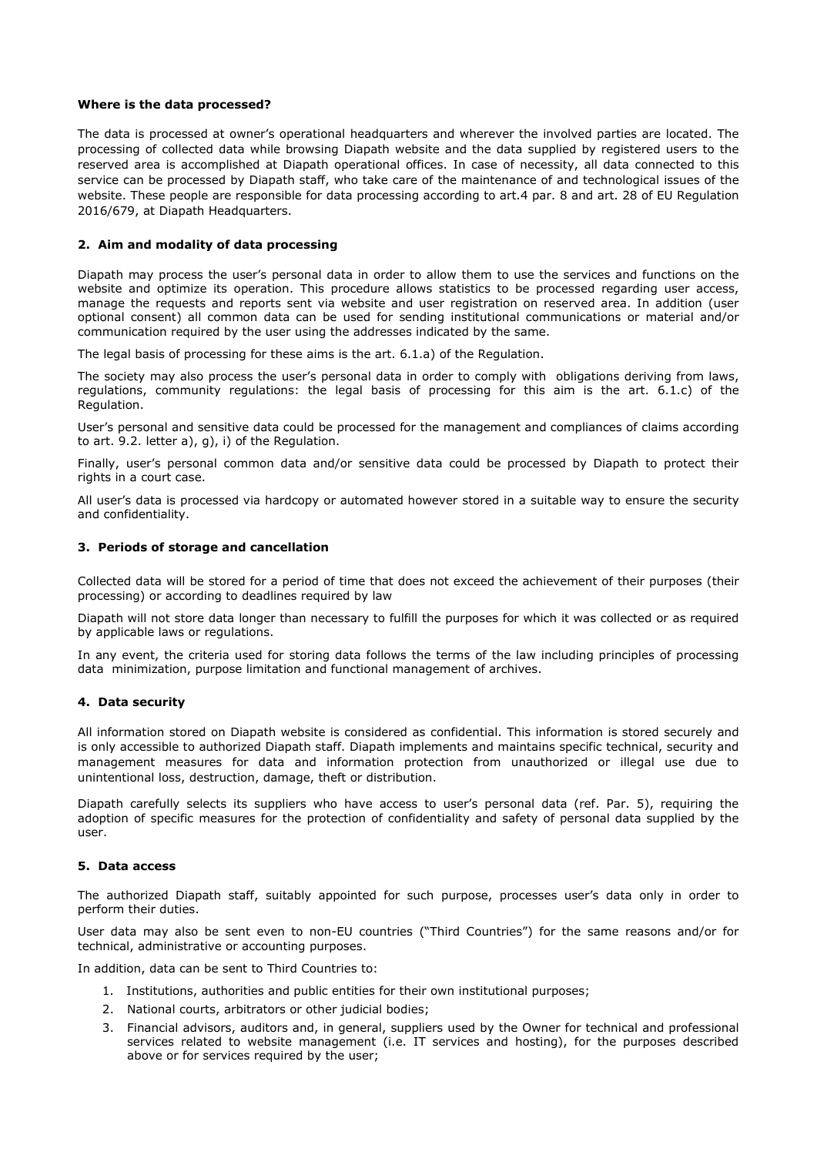## Where is the data processed?

The data is processed at owner's operational headquarters and wherever the involved parties are located. The processing of collected data while browsing Diapath website and the data supplied by registered users to the reserved area is accomplished at Diapath operational offices. In case of necessity, all data connected to this service can be processed by Diapath staff, who take care of the maintenance of and technological issues of the website. These people are responsible for data processing according to art.4 par. 8 and art. 28 of EU Regulation 2016/679, at Diapath Headquarters.

## 2. Aim and modality of data processing

Diapath may process the user's personal data in order to allow them to use the services and functions on the website and optimize its operation. This procedure allows statistics to be processed regarding user access, manage the requests and reports sent via website and user registration on reserved area. In addition (user optional consent) all common data can be used for sending institutional communications or material and/or communication required by the user using the addresses indicated by the same.

The legal basis of processing for these aims is the art. 6.1.a) of the Regulation.

The society may also process the user's personal data in order to comply with obligations deriving from laws, regulations, community regulations: the legal basis of processing for this aim is the art. 6.1.c) of the Regulation.

User's personal and sensitive data could be processed for the management and compliances of claims according to art. 9.2. letter a), g), i) of the Regulation.

Finally, user's personal common data and/or sensitive data could be processed by Diapath to protect their rights in a court case.

All user's data is processed via hardcopy or automated however stored in a suitable way to ensure the security and confidentiality.

## 3. Periods of storage and cancellation

Collected data will be stored for a period of time that does not exceed the achievement of their purposes (their processing) or according to deadlines required by law

Diapath will not store data longer than necessary to fulfill the purposes for which it was collected or as required by applicable laws or regulations.

In any event, the criteria used for storing data follows the terms of the law including principles of processing data minimization, purpose limitation and functional management of archives.

### 4. Data security

All information stored on Diapath website is considered as confidential. This information is stored securely and is only accessible to authorized Diapath staff. Diapath implements and maintains specific technical, security and management measures for data and information protection from unauthorized or illegal use due to unintentional loss, destruction, damage, theft or distribution.

Diapath carefully selects its suppliers who have access to user's personal data (ref. Par. 5), requiring the adoption of specific measures for the protection of confidentiality and safety of personal data supplied by the user.

### 5. Data access

The authorized Diapath staff, suitably appointed for such purpose, processes user's data only in order to perform their duties.

User data may also be sent even to non-EU countries ("Third Countries") for the same reasons and/or for technical, administrative or accounting purposes.

In addition, data can be sent to Third Countries to:

- 1. Institutions, authorities and public entities for their own institutional purposes;
- 2. National courts, arbitrators or other judicial bodies;
- 3. Financial advisors, auditors and, in general, suppliers used by the Owner for technical and professional services related to website management (i.e. IT services and hosting), for the purposes described above or for services required by the user;